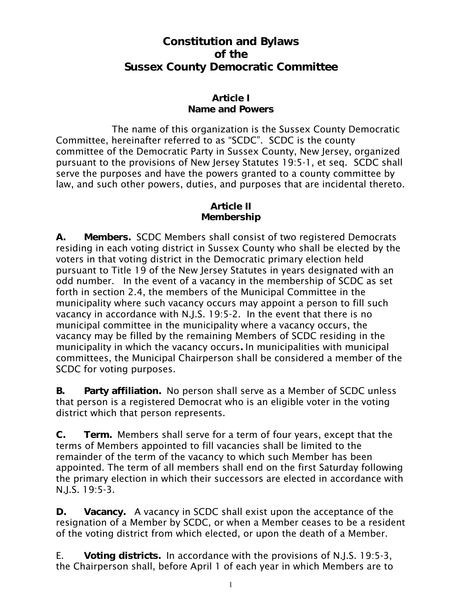# **Constitution and Bylaws of the Sussex County Democratic Committee**

### **Article I Name and Powers**

The name of this organization is the Sussex County Democratic Committee, hereinafter referred to as "SCDC". SCDC is the county committee of the Democratic Party in Sussex County, New Jersey, organized pursuant to the provisions of New Jersey Statutes 19:5-1, et seq.SCDC shall serve the purposes and have the powers granted to a county committee by law, and such other powers, duties, and purposes that are incidental thereto.

#### **Article II Membership**

**A. Members.** SCDC Members shall consist of two registered Democrats residing in each voting district in Sussex County who shall be elected by the voters in that voting district in the Democratic primary election held pursuant to Title 19 of the New Jersey Statutes in years designated with an odd number. In the event of a vacancy in the membership of SCDC as set forth in section 2.4, the members of the Municipal Committee in the municipality where such vacancy occurs may appoint a person to fill such vacancy in accordance with N.J.S. 19:5-2. In the event that there is no municipal committee in the municipality where a vacancy occurs, the vacancy may be filled by the remaining Members of SCDC residing in the municipality in which the vacancy occurs**.** In municipalities with municipal committees, the Municipal Chairperson shall be considered a member of the SCDC for voting purposes.

**B. Party affiliation.** No person shall serve as a Member of SCDC unless that person is a registered Democrat who is an eligible voter in the voting district which that person represents.

**C. Term.** Members shall serve for a term of four years, except that the terms of Members appointed to fill vacancies shall be limited to the remainder of the term of the vacancy to which such Member has been appointed. The term of all members shall end on the first Saturday following the primary election in which their successors are elected in accordance with N.J.S. 19:5-3.

**D. Vacancy.** A vacancy in SCDC shall exist upon the acceptance of the resignation of a Member by SCDC, or when a Member ceases to be a resident of the voting district from which elected, or upon the death of a Member.

E. **Voting districts.** In accordance with the provisions of N.J.S. 19:5-3, the Chairperson shall, before April 1 of each year in which Members are to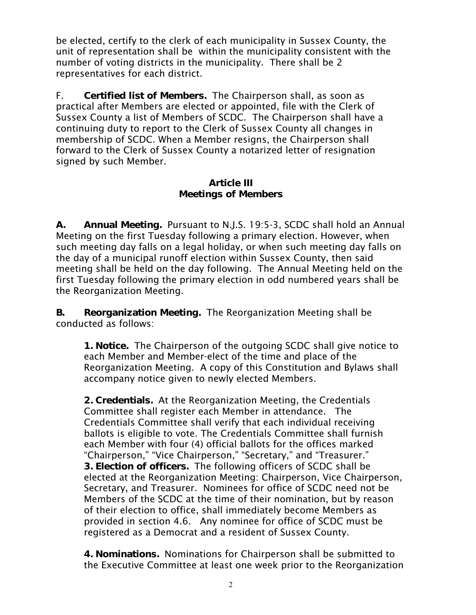be elected, certify to the clerk of each municipality in Sussex County, the unit of representation shall be within the municipality consistent with the number of voting districts in the municipality. There shall be 2 representatives for each district.

F. **Certified list of Members.** The Chairperson shall, as soon as practical after Members are elected or appointed, file with the Clerk of Sussex County a list of Members of SCDC. The Chairperson shall have a continuing duty to report to the Clerk of Sussex County all changes in membership of SCDC. When a Member resigns, the Chairperson shall forward to the Clerk of Sussex County a notarized letter of resignation signed by such Member.

#### **Article III Meetings of Members**

**A. Annual Meeting.** Pursuant to N.J.S. 19:5-3, SCDC shall hold an Annual Meeting on the first Tuesday following a primary election. However, when such meeting day falls on a legal holiday, or when such meeting day falls on the day of a municipal runoff election within Sussex County, then said meeting shall be held on the day following. The Annual Meeting held on the first Tuesday following the primary election in odd numbered years shall be the Reorganization Meeting.

**B. Reorganization Meeting.** The Reorganization Meeting shall be conducted as follows:

**1. Notice.** The Chairperson of the outgoing SCDC shall give notice to each Member and Member-elect of the time and place of the Reorganization Meeting. A copy of this Constitution and Bylaws shall accompany notice given to newly elected Members.

**2. Credentials.** At the Reorganization Meeting, the Credentials Committee shall register each Member in attendance. The Credentials Committee shall verify that each individual receiving ballots is eligible to vote. The Credentials Committee shall furnish each Member with four (4) official ballots for the offices marked "Chairperson," "Vice Chairperson," "Secretary," and "Treasurer." **3. Election of officers.** The following officers of SCDC shall be elected at the Reorganization Meeting: Chairperson, Vice Chairperson, Secretary, and Treasurer. Nominees for office of SCDC need not be Members of the SCDC at the time of their nomination, but by reason of their election to office, shall immediately become Members as provided in section 4.6. Any nominee for office of SCDC must be registered as a Democrat and a resident of Sussex County.

**4. Nominations.** Nominations for Chairperson shall be submitted to the Executive Committee at least one week prior to the Reorganization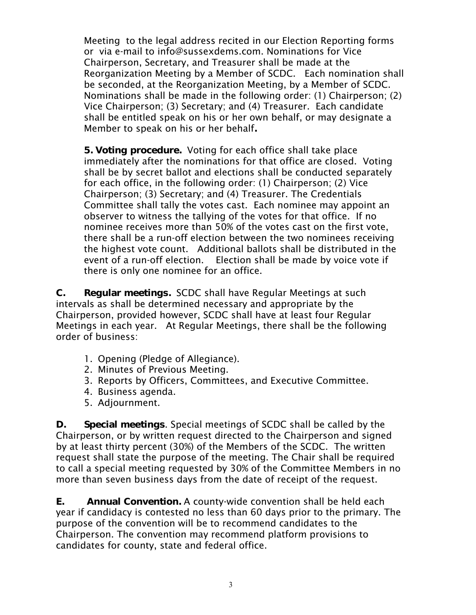Meeting to the legal address recited in our Election Reporting forms or via e-mail to info@sussexdems.com. Nominations for Vice Chairperson, Secretary, and Treasurer shall be made at the Reorganization Meeting by a Member of SCDC. Each nomination shall be seconded, at the Reorganization Meeting, by a Member of SCDC. Nominations shall be made in the following order: (1) Chairperson; (2) Vice Chairperson; (3) Secretary; and (4) Treasurer. Each candidate shall be entitled speak on his or her own behalf, or may designate a Member to speak on his or her behalf**.**

**5. Voting procedure.** Voting for each office shall take place immediately after the nominations for that office are closed. Voting shall be by secret ballot and elections shall be conducted separately for each office, in the following order: (1) Chairperson; (2) Vice Chairperson; (3) Secretary; and (4) Treasurer. The Credentials Committee shall tally the votes cast. Each nominee may appoint an observer to witness the tallying of the votes for that office. If no nominee receives more than 50% of the votes cast on the first vote, there shall be a run-off election between the two nominees receiving the highest vote count. Additional ballots shall be distributed in the event of a run-off election. Election shall be made by voice vote if there is only one nominee for an office.

**C. Regular meetings.** SCDC shall have Regular Meetings at such intervals as shall be determined necessary and appropriate by the Chairperson, provided however, SCDC shall have at least four Regular Meetings in each year. At Regular Meetings, there shall be the following order of business:

- 1. Opening (Pledge of Allegiance).
- 2. Minutes of Previous Meeting.
- 3. Reports by Officers, Committees, and Executive Committee.
- 4. Business agenda.
- 5. Adjournment.

**D. Special meetings**. Special meetings of SCDC shall be called by the Chairperson, or by written request directed to the Chairperson and signed by at least thirty percent (30%) of the Members of the SCDC. The written request shall state the purpose of the meeting. The Chair shall be required to call a special meeting requested by 30% of the Committee Members in no more than seven business days from the date of receipt of the request.

**E. Annual Convention.** A county-wide convention shall be held each year if candidacy is contested no less than 60 days prior to the primary. The purpose of the convention will be to recommend candidates to the Chairperson. The convention may recommend platform provisions to candidates for county, state and federal office.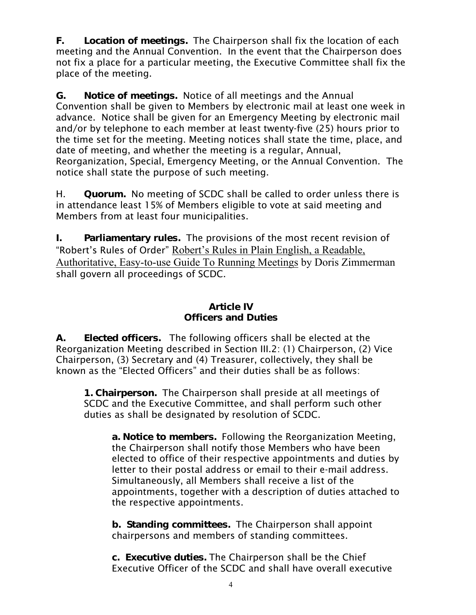**F. Location of meetings.** The Chairperson shall fix the location of each meeting and the Annual Convention. In the event that the Chairperson does not fix a place for a particular meeting, the Executive Committee shall fix the place of the meeting.

**G. Notice of meetings.** Notice of all meetings and the Annual Convention shall be given to Members by electronic mail at least one week in advance. Notice shall be given for an Emergency Meeting by electronic mail and/or by telephone to each member at least twenty-five (25) hours prior to the time set for the meeting. Meeting notices shall state the time, place, and date of meeting, and whether the meeting is a regular, Annual, Reorganization, Special, Emergency Meeting, or the Annual Convention. The notice shall state the purpose of such meeting.

H. **Quorum.** No meeting of SCDC shall be called to order unless there is in attendance least 15% of Members eligible to vote at said meeting and Members from at least four municipalities.

**I. Parliamentary rules.** The provisions of the most recent revision of "Robert's Rules of Order" Robert's Rules in Plain English, a Readable, Authoritative, Easy-to-use Guide To Running Meetings by Doris Zimmerman shall govern all proceedings of SCDC.

## **Article IV Officers and Duties**

**A. Elected officers.** The following officers shall be elected at the Reorganization Meeting described in Section III.2: (1) Chairperson, (2) Vice Chairperson, (3) Secretary and (4) Treasurer, collectively, they shall be known as the "Elected Officers" and their duties shall be as follows:

**1. Chairperson.** The Chairperson shall preside at all meetings of SCDC and the Executive Committee, and shall perform such other duties as shall be designated by resolution of SCDC.

**a. Notice to members.** Following the Reorganization Meeting, the Chairperson shall notify those Members who have been elected to office of their respective appointments and duties by letter to their postal address or email to their e-mail address. Simultaneously, all Members shall receive a list of the appointments, together with a description of duties attached to the respective appointments.

**b. Standing committees.** The Chairperson shall appoint chairpersons and members of standing committees.

**c. Executive duties.** The Chairperson shall be the Chief Executive Officer of the SCDC and shall have overall executive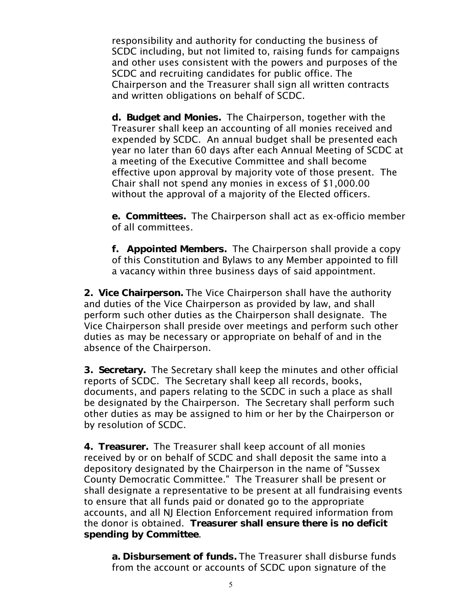responsibility and authority for conducting the business of SCDC including, but not limited to, raising funds for campaigns and other uses consistent with the powers and purposes of the SCDC and recruiting candidates for public office. The Chairperson and the Treasurer shall sign all written contracts and written obligations on behalf of SCDC.

**d. Budget and Monies.** The Chairperson, together with the Treasurer shall keep an accounting of all monies received and expended by SCDC. An annual budget shall be presented each year no later than 60 days after each Annual Meeting of SCDC at a meeting of the Executive Committee and shall become effective upon approval by majority vote of those present. The Chair shall not spend any monies in excess of \$1,000.00 without the approval of a majority of the Elected officers.

**e. Committees.** The Chairperson shall act as ex-officio member of all committees.

**f. Appointed Members.** The Chairperson shall provide a copy of this Constitution and Bylaws to any Member appointed to fill a vacancy within three business days of said appointment.

**2. Vice Chairperson.** The Vice Chairperson shall have the authority and duties of the Vice Chairperson as provided by law, and shall perform such other duties as the Chairperson shall designate. The Vice Chairperson shall preside over meetings and perform such other duties as may be necessary or appropriate on behalf of and in the absence of the Chairperson.

**3. Secretary.** The Secretary shall keep the minutes and other official reports of SCDC. The Secretary shall keep all records, books, documents, and papers relating to the SCDC in such a place as shall be designated by the Chairperson. The Secretary shall perform such other duties as may be assigned to him or her by the Chairperson or by resolution of SCDC.

**4. Treasurer.** The Treasurer shall keep account of all monies received by or on behalf of SCDC and shall deposit the same into a depository designated by the Chairperson in the name of "Sussex County Democratic Committee." The Treasurer shall be present or shall designate a representative to be present at all fundraising events to ensure that all funds paid or donated go to the appropriate accounts, and all NJ Election Enforcement required information from the donor is obtained. **Treasurer shall ensure there is no deficit spending by Committee**.

**a. Disbursement of funds.** The Treasurer shall disburse funds from the account or accounts of SCDC upon signature of the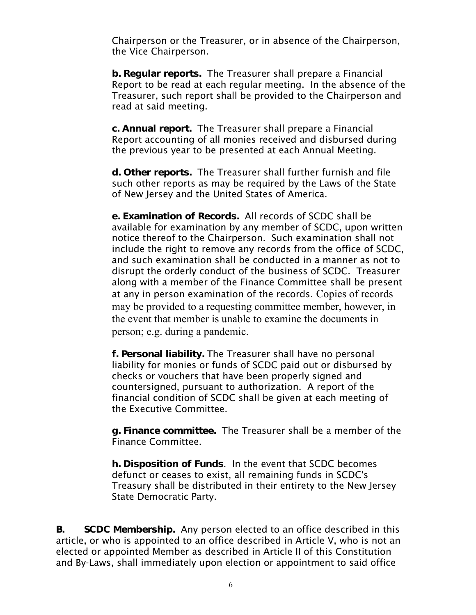Chairperson or the Treasurer, or in absence of the Chairperson, the Vice Chairperson.

**b. Regular reports.** The Treasurer shall prepare a Financial Report to be read at each regular meeting. In the absence of the Treasurer, such report shall be provided to the Chairperson and read at said meeting.

**c. Annual report.** The Treasurer shall prepare a Financial Report accounting of all monies received and disbursed during the previous year to be presented at each Annual Meeting.

**d. Other reports.** The Treasurer shall further furnish and file such other reports as may be required by the Laws of the State of New Jersey and the United States of America.

**e. Examination of Records.** All records of SCDC shall be available for examination by any member of SCDC, upon written notice thereof to the Chairperson. Such examination shall not include the right to remove any records from the office of SCDC, and such examination shall be conducted in a manner as not to disrupt the orderly conduct of the business of SCDC. Treasurer along with a member of the Finance Committee shall be present at any in person examination of the records. Copies of records may be provided to a requesting committee member, however, in the event that member is unable to examine the documents in person; e.g. during a pandemic.

**f. Personal liability.** The Treasurer shall have no personal liability for monies or funds of SCDC paid out or disbursed by checks or vouchers that have been properly signed and countersigned, pursuant to authorization. A report of the financial condition of SCDC shall be given at each meeting of the Executive Committee.

**g. Finance committee.** The Treasurer shall be a member of the Finance Committee.

**h. Disposition of Funds**. In the event that SCDC becomes defunct or ceases to exist, all remaining funds in SCDC's Treasury shall be distributed in their entirety to the New Jersey State Democratic Party.

**B. SCDC Membership.** Any person elected to an office described in this article, or who is appointed to an office described in Article V, who is not an elected or appointed Member as described in Article II of this Constitution and By-Laws, shall immediately upon election or appointment to said office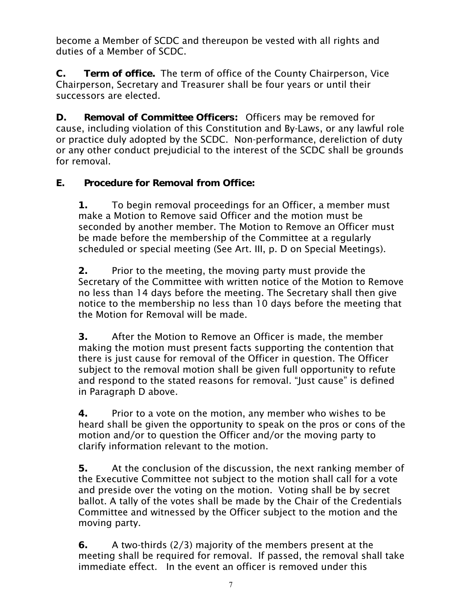become a Member of SCDC and thereupon be vested with all rights and duties of a Member of SCDC.

**C. Term of office.** The term of office of the County Chairperson, Vice Chairperson, Secretary and Treasurer shall be four years or until their successors are elected.

**D. Removal of Committee Officers:** Officers may be removed for cause, including violation of this Constitution and By-Laws, or any lawful role or practice duly adopted by the SCDC. Non-performance, dereliction of duty or any other conduct prejudicial to the interest of the SCDC shall be grounds for removal.

**E. Procedure for Removal from Office:** 

**1.** To begin removal proceedings for an Officer, a member must make a Motion to Remove said Officer and the motion must be seconded by another member. The Motion to Remove an Officer must be made before the membership of the Committee at a regularly scheduled or special meeting (See Art. III, p. D on Special Meetings).

**2.** Prior to the meeting, the moving party must provide the Secretary of the Committee with written notice of the Motion to Remove no less than 14 days before the meeting. The Secretary shall then give notice to the membership no less than 10 days before the meeting that the Motion for Removal will be made.

**3.** After the Motion to Remove an Officer is made, the member making the motion must present facts supporting the contention that there is just cause for removal of the Officer in question. The Officer subject to the removal motion shall be given full opportunity to refute and respond to the stated reasons for removal. "Just cause" is defined in Paragraph D above.

**4.** Prior to a vote on the motion, any member who wishes to be heard shall be given the opportunity to speak on the pros or cons of the motion and/or to question the Officer and/or the moving party to clarify information relevant to the motion.

**5.** At the conclusion of the discussion, the next ranking member of the Executive Committee not subject to the motion shall call for a vote and preside over the voting on the motion. Voting shall be by secret ballot. A tally of the votes shall be made by the Chair of the Credentials Committee and witnessed by the Officer subject to the motion and the moving party.

**6.** A two-thirds (2/3) majority of the members present at the meeting shall be required for removal. If passed, the removal shall take immediate effect. In the event an officer is removed under this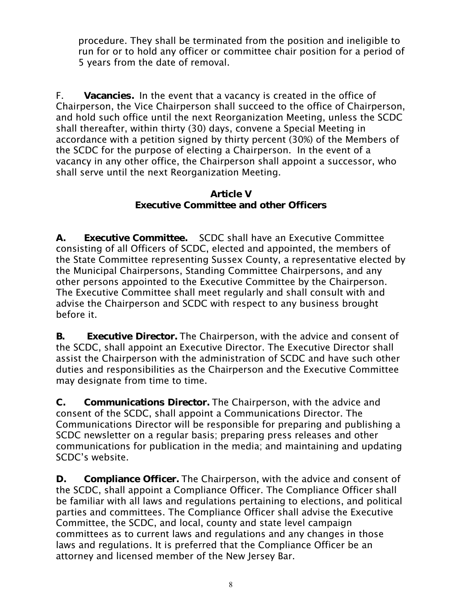procedure. They shall be terminated from the position and ineligible to run for or to hold any officer or committee chair position for a period of 5 years from the date of removal.

F. **Vacancies.** In the event that a vacancy is created in the office of Chairperson, the Vice Chairperson shall succeed to the office of Chairperson, and hold such office until the next Reorganization Meeting, unless the SCDC shall thereafter, within thirty (30) days, convene a Special Meeting in accordance with a petition signed by thirty percent (30%) of the Members of the SCDC for the purpose of electing a Chairperson. In the event of a vacancy in any other office, the Chairperson shall appoint a successor, who shall serve until the next Reorganization Meeting.

### **Article V Executive Committee and other Officers**

**A. Executive Committee.** SCDC shall have an Executive Committee consisting of all Officers of SCDC, elected and appointed, the members of the State Committee representing Sussex County, a representative elected by the Municipal Chairpersons, Standing Committee Chairpersons, and any other persons appointed to the Executive Committee by the Chairperson. The Executive Committee shall meet regularly and shall consult with and advise the Chairperson and SCDC with respect to any business brought before it.

**B. Executive Director.** The Chairperson, with the advice and consent of the SCDC, shall appoint an Executive Director. The Executive Director shall assist the Chairperson with the administration of SCDC and have such other duties and responsibilities as the Chairperson and the Executive Committee may designate from time to time.

**C. Communications Director.** The Chairperson, with the advice and consent of the SCDC, shall appoint a Communications Director. The Communications Director will be responsible for preparing and publishing a SCDC newsletter on a regular basis; preparing press releases and other communications for publication in the media; and maintaining and updating SCDC's website.

**D. Compliance Officer.** The Chairperson, with the advice and consent of the SCDC, shall appoint a Compliance Officer. The Compliance Officer shall be familiar with all laws and regulations pertaining to elections, and political parties and committees. The Compliance Officer shall advise the Executive Committee, the SCDC, and local, county and state level campaign committees as to current laws and regulations and any changes in those laws and regulations. It is preferred that the Compliance Officer be an attorney and licensed member of the New Jersey Bar.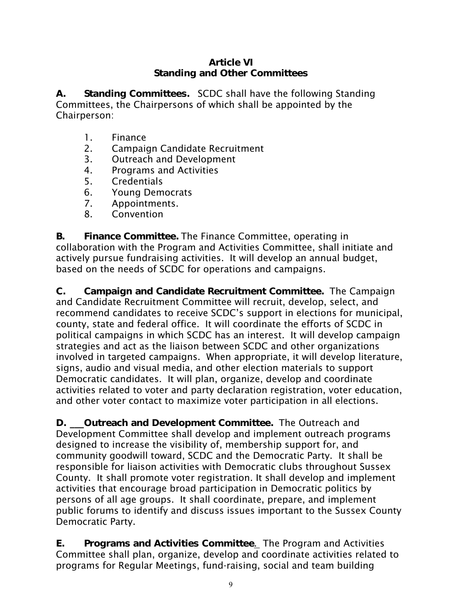### **Article VI Standing and Other Committees**

**A. Standing Committees.** SCDC shall have the following Standing Committees, the Chairpersons of which shall be appointed by the Chairperson:

- 1. Finance
- 2. Campaign Candidate Recruitment
- 3. Outreach and Development
- 4. Programs and Activities
- 5. Credentials
- 6. Young Democrats
- 7. Appointments.
- 8. Convention

**B. Finance Committee.** The Finance Committee, operating in collaboration with the Program and Activities Committee, shall initiate and actively pursue fundraising activities. It will develop an annual budget, based on the needs of SCDC for operations and campaigns.

**C. Campaign and Candidate Recruitment Committee.** The Campaign and Candidate Recruitment Committee will recruit, develop, select, and recommend candidates to receive SCDC's support in elections for municipal, county, state and federal office. It will coordinate the efforts of SCDC in political campaigns in which SCDC has an interest. It will develop campaign strategies and act as the liaison between SCDC and other organizations involved in targeted campaigns. When appropriate, it will develop literature, signs, audio and visual media, and other election materials to support Democratic candidates. It will plan, organize, develop and coordinate activities related to voter and party declaration registration, voter education, and other voter contact to maximize voter participation in all elections.

**D. \_\_\_Outreach and Development Committee.** The Outreach and Development Committee shall develop and implement outreach programs designed to increase the visibility of, membership support for, and community goodwill toward, SCDC and the Democratic Party. It shall be responsible for liaison activities with Democratic clubs throughout Sussex County. It shall promote voter registration. It shall develop and implement activities that encourage broad participation in Democratic politics by persons of all age groups. It shall coordinate, prepare, and implement public forums to identify and discuss issues important to the Sussex County Democratic Party.

**E. Programs and Activities Committee**. The Program and Activities Committee shall plan, organize, develop and coordinate activities related to programs for Regular Meetings, fund-raising, social and team building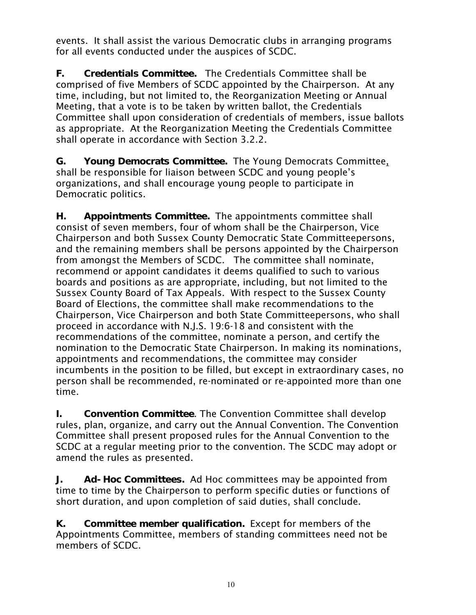events. It shall assist the various Democratic clubs in arranging programs for all events conducted under the auspices of SCDC.

**F. Credentials Committee.** The Credentials Committee shall be comprised of five Members of SCDC appointed by the Chairperson. At any time, including, but not limited to, the Reorganization Meeting or Annual Meeting, that a vote is to be taken by written ballot, the Credentials Committee shall upon consideration of credentials of members, issue ballots as appropriate. At the Reorganization Meeting the Credentials Committee shall operate in accordance with Section 3.2.2.

**G. Young Democrats Committee.** The Young Democrats Committee, shall be responsible for liaison between SCDC and young people's organizations, and shall encourage young people to participate in Democratic politics.

**H. Appointments Committee.** The appointments committee shall consist of seven members, four of whom shall be the Chairperson, Vice Chairperson and both Sussex County Democratic State Committeepersons, and the remaining members shall be persons appointed by the Chairperson from amongst the Members of SCDC. The committee shall nominate, recommend or appoint candidates it deems qualified to such to various boards and positions as are appropriate, including, but not limited to the Sussex County Board of Tax Appeals. With respect to the Sussex County Board of Elections, the committee shall make recommendations to the Chairperson, Vice Chairperson and both State Committeepersons, who shall proceed in accordance with N.J.S. 19:6-18 and consistent with the recommendations of the committee, nominate a person, and certify the nomination to the Democratic State Chairperson. In making its nominations, appointments and recommendations, the committee may consider incumbents in the position to be filled, but except in extraordinary cases, no person shall be recommended, re-nominated or re-appointed more than one time.

**I. Convention Committee**. The Convention Committee shall develop rules, plan, organize, and carry out the Annual Convention. The Convention Committee shall present proposed rules for the Annual Convention to the SCDC at a regular meeting prior to the convention. The SCDC may adopt or amend the rules as presented.

**J. Ad-Hoc Committees.** Ad Hoc committees may be appointed from time to time by the Chairperson to perform specific duties or functions of short duration, and upon completion of said duties, shall conclude.

**K. Committee member qualification.** Except for members of the Appointments Committee, members of standing committees need not be members of SCDC.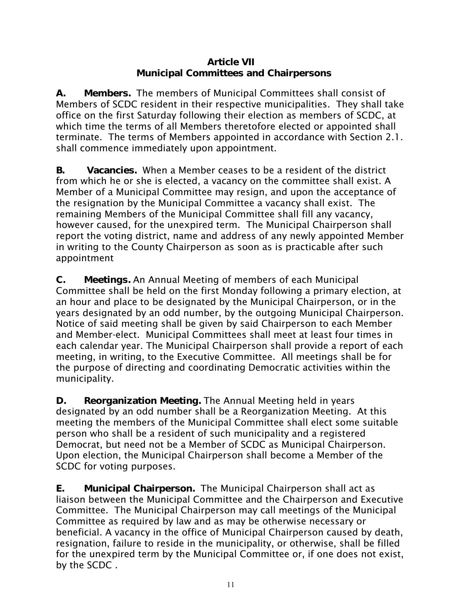### **Article VII Municipal Committees and Chairpersons**

**A. Members.** The members of Municipal Committees shall consist of Members of SCDC resident in their respective municipalities. They shall take office on the first Saturday following their election as members of SCDC, at which time the terms of all Members theretofore elected or appointed shall terminate. The terms of Members appointed in accordance with Section 2.1. shall commence immediately upon appointment.

**B. Vacancies.** When a Member ceases to be a resident of the district from which he or she is elected, a vacancy on the committee shall exist. A Member of a Municipal Committee may resign, and upon the acceptance of the resignation by the Municipal Committee a vacancy shall exist. The remaining Members of the Municipal Committee shall fill any vacancy, however caused, for the unexpired term. The Municipal Chairperson shall report the voting district, name and address of any newly appointed Member in writing to the County Chairperson as soon as is practicable after such appointment

**C. Meetings.** An Annual Meeting of members of each Municipal Committee shall be held on the first Monday following a primary election, at an hour and place to be designated by the Municipal Chairperson, or in the years designated by an odd number, by the outgoing Municipal Chairperson. Notice of said meeting shall be given by said Chairperson to each Member and Member-elect. Municipal Committees shall meet at least four times in each calendar year. The Municipal Chairperson shall provide a report of each meeting, in writing, to the Executive Committee. All meetings shall be for the purpose of directing and coordinating Democratic activities within the municipality.

**D. Reorganization Meeting.** The Annual Meeting held in years designated by an odd number shall be a Reorganization Meeting. At this meeting the members of the Municipal Committee shall elect some suitable person who shall be a resident of such municipality and a registered Democrat, but need not be a Member of SCDC as Municipal Chairperson. Upon election, the Municipal Chairperson shall become a Member of the SCDC for voting purposes.

**E. Municipal Chairperson.** The Municipal Chairperson shall act as liaison between the Municipal Committee and the Chairperson and Executive Committee. The Municipal Chairperson may call meetings of the Municipal Committee as required by law and as may be otherwise necessary or beneficial. A vacancy in the office of Municipal Chairperson caused by death, resignation, failure to reside in the municipality, or otherwise, shall be filled for the unexpired term by the Municipal Committee or, if one does not exist, by the SCDC .